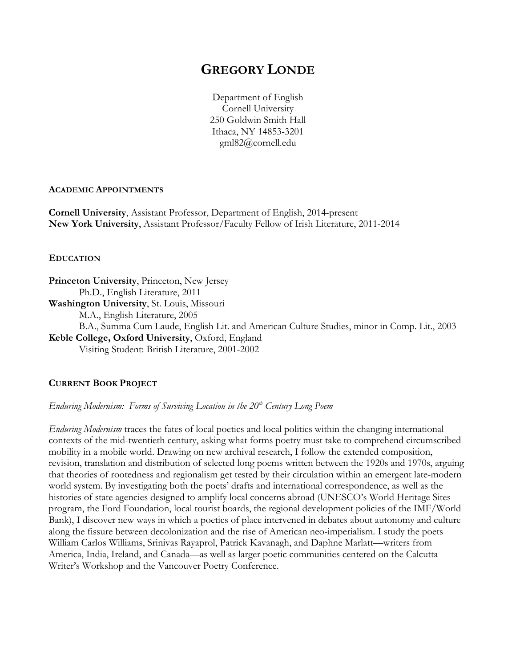# **GREGORY LONDE**

Department of English Cornell University 250 Goldwin Smith Hall Ithaca, NY 14853-3201 gml82@cornell.edu

### **ACADEMIC APPOINTMENTS**

**Cornell University**, Assistant Professor, Department of English, 2014-present **New York University**, Assistant Professor/Faculty Fellow of Irish Literature, 2011-2014

## **EDUCATION**

**Princeton University**, Princeton, New Jersey Ph.D., English Literature, 2011 **Washington University**, St. Louis, Missouri M.A., English Literature, 2005 B.A., Summa Cum Laude, English Lit. and American Culture Studies, minor in Comp. Lit., 2003

**Keble College, Oxford University**, Oxford, England Visiting Student: British Literature, 2001-2002

## **CURRENT BOOK PROJECT**

*Enduring Modernism: Forms of Surviving Location in the 20<sup>th</sup> Century Long Poem* 

*Enduring Modernism* traces the fates of local poetics and local politics within the changing international contexts of the mid-twentieth century, asking what forms poetry must take to comprehend circumscribed mobility in a mobile world. Drawing on new archival research, I follow the extended composition, revision, translation and distribution of selected long poems written between the 1920s and 1970s, arguing that theories of rootedness and regionalism get tested by their circulation within an emergent late-modern world system. By investigating both the poets' drafts and international correspondence, as well as the histories of state agencies designed to amplify local concerns abroad (UNESCO's World Heritage Sites program, the Ford Foundation, local tourist boards, the regional development policies of the IMF/World Bank), I discover new ways in which a poetics of place intervened in debates about autonomy and culture along the fissure between decolonization and the rise of American neo-imperialism. I study the poets William Carlos Williams, Srinivas Rayaprol, Patrick Kavanagh, and Daphne Marlatt—writers from America, India, Ireland, and Canada—as well as larger poetic communities centered on the Calcutta Writer's Workshop and the Vancouver Poetry Conference.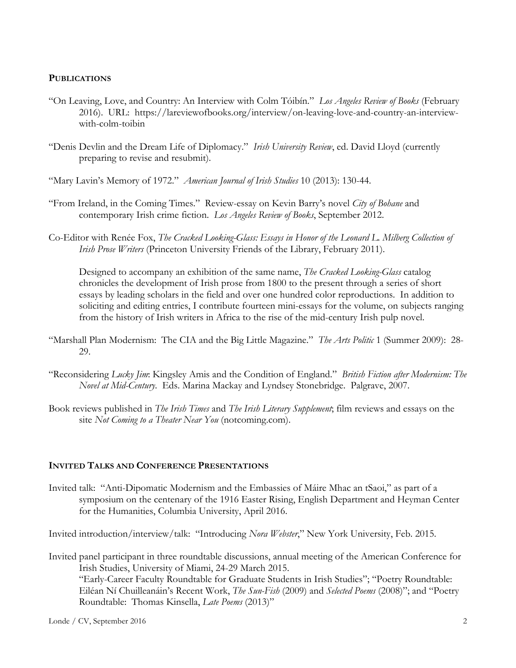## **PUBLICATIONS**

- "On Leaving, Love, and Country: An Interview with Colm Tóibín." *Los Angeles Review of Books* (February 2016). URL: https://lareviewofbooks.org/interview/on-leaving-love-and-country-an-interviewwith-colm-toibin
- "Denis Devlin and the Dream Life of Diplomacy." *Irish University Review*, ed. David Lloyd (currently preparing to revise and resubmit).

"Mary Lavin's Memory of 1972." *American Journal of Irish Studies* 10 (2013): 130-44.

- "From Ireland, in the Coming Times." Review-essay on Kevin Barry's novel *City of Bohane* and contemporary Irish crime fiction. *Los Angeles Review of Books*, September 2012.
- Co-Editor with Renée Fox, *The Cracked Looking-Glass: Essays in Honor of the Leonard L. Milberg Collection of Irish Prose Writers* (Princeton University Friends of the Library, February 2011).

Designed to accompany an exhibition of the same name, *The Cracked Looking-Glass* catalog chronicles the development of Irish prose from 1800 to the present through a series of short essays by leading scholars in the field and over one hundred color reproductions. In addition to soliciting and editing entries, I contribute fourteen mini-essays for the volume, on subjects ranging from the history of Irish writers in Africa to the rise of the mid-century Irish pulp novel.

- "Marshall Plan Modernism: The CIA and the Big Little Magazine." *The Arts Politic* 1 (Summer 2009): 28- 29.
- "Reconsidering *Lucky Jim*: Kingsley Amis and the Condition of England." *British Fiction after Modernism: The Novel at Mid-Century*. Eds. Marina Mackay and Lyndsey Stonebridge. Palgrave, 2007.
- Book reviews published in *The Irish Times* and *The Irish Literary Supplement*; film reviews and essays on the site *Not Coming to a Theater Near You* (notcoming.com).

## **INVITED TALKS AND CONFERENCE PRESENTATIONS**

Invited talk: "Anti-Dipomatic Modernism and the Embassies of Máire Mhac an tSaoi," as part of a symposium on the centenary of the 1916 Easter Rising, English Department and Heyman Center for the Humanities, Columbia University, April 2016.

Invited introduction/interview/talk: "Introducing *Nora Webster*," New York University, Feb. 2015.

Invited panel participant in three roundtable discussions, annual meeting of the American Conference for Irish Studies, University of Miami, 24-29 March 2015. "Early-Career Faculty Roundtable for Graduate Students in Irish Studies"; "Poetry Roundtable: Eiléan Ní Chuilleanáin's Recent Work, *The Sun-Fish* (2009) and *Selected Poems* (2008)"; and "Poetry Roundtable: Thomas Kinsella, *Late Poems* (2013)"

Londe / CV, September 2016 2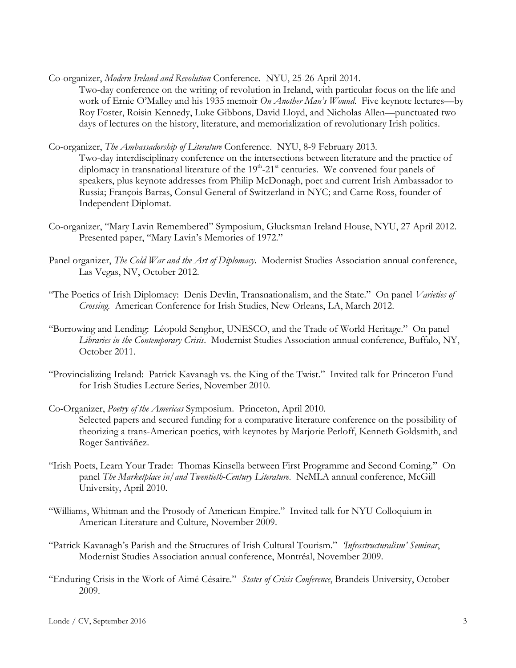Co-organizer, *Modern Ireland and Revolution* Conference. NYU, 25-26 April 2014.

- Two-day conference on the writing of revolution in Ireland, with particular focus on the life and work of Ernie O'Malley and his 1935 memoir *On Another Man's Wound*. Five keynote lectures—by Roy Foster, Roisin Kennedy, Luke Gibbons, David Lloyd, and Nicholas Allen—punctuated two days of lectures on the history, literature, and memorialization of revolutionary Irish politics.
- Co-organizer, *The Ambassadorship of Literature* Conference. NYU, 8-9 February 2013.
	- Two-day interdisciplinary conference on the intersections between literature and the practice of diplomacy in transnational literature of the 19<sup>th</sup>-21<sup>st</sup> centuries. We convened four panels of speakers, plus keynote addresses from Philip McDonagh, poet and current Irish Ambassador to Russia; François Barras, Consul General of Switzerland in NYC; and Carne Ross, founder of Independent Diplomat.
- Co-organizer, "Mary Lavin Remembered" Symposium, Glucksman Ireland House, NYU, 27 April 2012. Presented paper, "Mary Lavin's Memories of 1972."
- Panel organizer, *The Cold War and the Art of Diplomacy*. Modernist Studies Association annual conference, Las Vegas, NV, October 2012.
- "The Poetics of Irish Diplomacy: Denis Devlin, Transnationalism, and the State." On panel *Varieties of Crossing*. American Conference for Irish Studies, New Orleans, LA, March 2012.
- "Borrowing and Lending: Léopold Senghor, UNESCO, and the Trade of World Heritage." On panel *Libraries in the Contemporary Crisis*. Modernist Studies Association annual conference, Buffalo, NY, October 2011.
- "Provincializing Ireland: Patrick Kavanagh vs. the King of the Twist." Invited talk for Princeton Fund for Irish Studies Lecture Series, November 2010.
- Co-Organizer, *Poetry of the Americas* Symposium. Princeton, April 2010. Selected papers and secured funding for a comparative literature conference on the possibility of theorizing a trans-American poetics, with keynotes by Marjorie Perloff, Kenneth Goldsmith, and Roger Santiváñez.
- "Irish Poets, Learn Your Trade: Thomas Kinsella between First Programme and Second Coming." On panel *The Marketplace in/and Twentieth-Century Literature*. NeMLA annual conference, McGill University, April 2010.
- "Williams, Whitman and the Prosody of American Empire." Invited talk for NYU Colloquium in American Literature and Culture, November 2009.
- "Patrick Kavanagh's Parish and the Structures of Irish Cultural Tourism." *'Infrastructuralism' Seminar*, Modernist Studies Association annual conference, Montréal, November 2009.
- "Enduring Crisis in the Work of Aimé Césaire." *States of Crisis Conference*, Brandeis University, October 2009.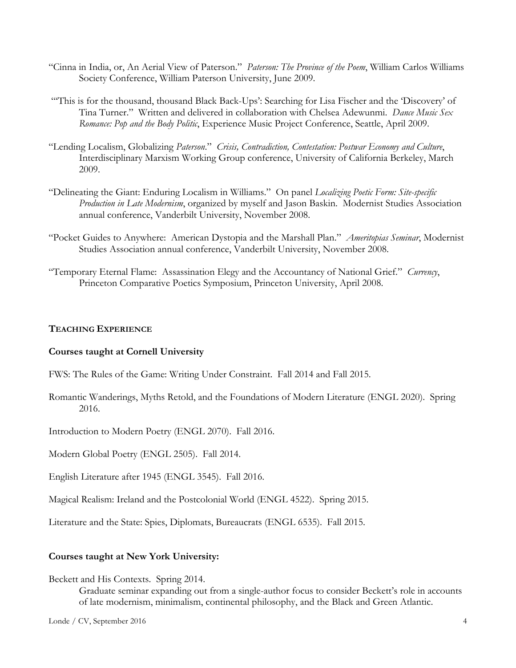- "Cinna in India, or, An Aerial View of Paterson." *Paterson: The Province of the Poem*, William Carlos Williams Society Conference, William Paterson University, June 2009.
- "'This is for the thousand, thousand Black Back-Ups': Searching for Lisa Fischer and the 'Discovery' of Tina Turner." Written and delivered in collaboration with Chelsea Adewunmi. *Dance Music Sex Romance: Pop and the Body Politic*, Experience Music Project Conference, Seattle, April 2009.
- "Lending Localism, Globalizing *Paterson*." *Crisis, Contradiction, Contestation: Postwar Economy and Culture*, Interdisciplinary Marxism Working Group conference, University of California Berkeley, March 2009.
- "Delineating the Giant: Enduring Localism in Williams." On panel *Localizing Poetic Form: Site-specific Production in Late Modernism*, organized by myself and Jason Baskin. Modernist Studies Association annual conference, Vanderbilt University, November 2008.
- "Pocket Guides to Anywhere: American Dystopia and the Marshall Plan." *Ameritopias Seminar*, Modernist Studies Association annual conference, Vanderbilt University, November 2008.
- "Temporary Eternal Flame: Assassination Elegy and the Accountancy of National Grief." *Currency*, Princeton Comparative Poetics Symposium, Princeton University, April 2008.

### **TEACHING EXPERIENCE**

#### **Courses taught at Cornell University**

- FWS: The Rules of the Game: Writing Under Constraint. Fall 2014 and Fall 2015.
- Romantic Wanderings, Myths Retold, and the Foundations of Modern Literature (ENGL 2020). Spring 2016.

Introduction to Modern Poetry (ENGL 2070). Fall 2016.

Modern Global Poetry (ENGL 2505). Fall 2014.

English Literature after 1945 (ENGL 3545). Fall 2016.

Magical Realism: Ireland and the Postcolonial World (ENGL 4522). Spring 2015.

Literature and the State: Spies, Diplomats, Bureaucrats (ENGL 6535). Fall 2015.

#### **Courses taught at New York University:**

#### Beckett and His Contexts. Spring 2014.

Graduate seminar expanding out from a single-author focus to consider Beckett's role in accounts of late modernism, minimalism, continental philosophy, and the Black and Green Atlantic.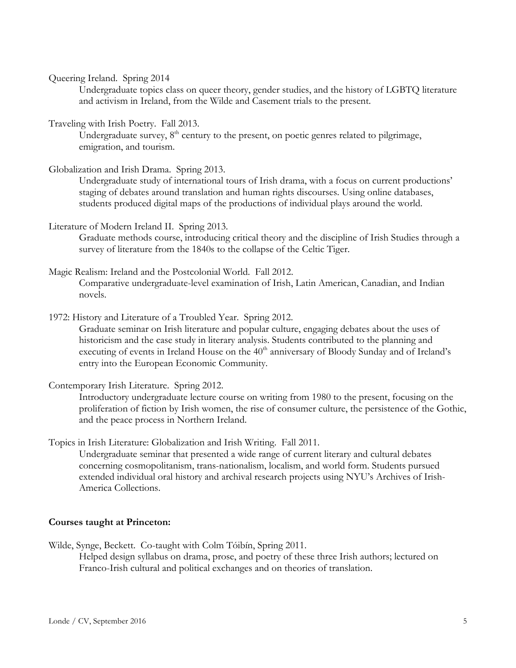Queering Ireland. Spring 2014

Undergraduate topics class on queer theory, gender studies, and the history of LGBTQ literature and activism in Ireland, from the Wilde and Casement trials to the present.

Traveling with Irish Poetry. Fall 2013.

Undergraduate survey,  $8<sup>th</sup>$  century to the present, on poetic genres related to pilgrimage, emigration, and tourism.

Globalization and Irish Drama. Spring 2013.

Undergraduate study of international tours of Irish drama, with a focus on current productions' staging of debates around translation and human rights discourses. Using online databases, students produced digital maps of the productions of individual plays around the world.

Literature of Modern Ireland II. Spring 2013.

Graduate methods course, introducing critical theory and the discipline of Irish Studies through a survey of literature from the 1840s to the collapse of the Celtic Tiger.

- Magic Realism: Ireland and the Postcolonial World. Fall 2012. Comparative undergraduate-level examination of Irish, Latin American, Canadian, and Indian novels.
- 1972: History and Literature of a Troubled Year. Spring 2012.

Graduate seminar on Irish literature and popular culture, engaging debates about the uses of historicism and the case study in literary analysis. Students contributed to the planning and executing of events in Ireland House on the  $40<sup>th</sup>$  anniversary of Bloody Sunday and of Ireland's entry into the European Economic Community.

Contemporary Irish Literature. Spring 2012.

Introductory undergraduate lecture course on writing from 1980 to the present, focusing on the proliferation of fiction by Irish women, the rise of consumer culture, the persistence of the Gothic, and the peace process in Northern Ireland.

Topics in Irish Literature: Globalization and Irish Writing. Fall 2011.

Undergraduate seminar that presented a wide range of current literary and cultural debates concerning cosmopolitanism, trans-nationalism, localism, and world form. Students pursued extended individual oral history and archival research projects using NYU's Archives of Irish-America Collections.

## **Courses taught at Princeton:**

Wilde, Synge, Beckett. Co-taught with Colm Tóibín, Spring 2011.

Helped design syllabus on drama, prose, and poetry of these three Irish authors; lectured on Franco-Irish cultural and political exchanges and on theories of translation.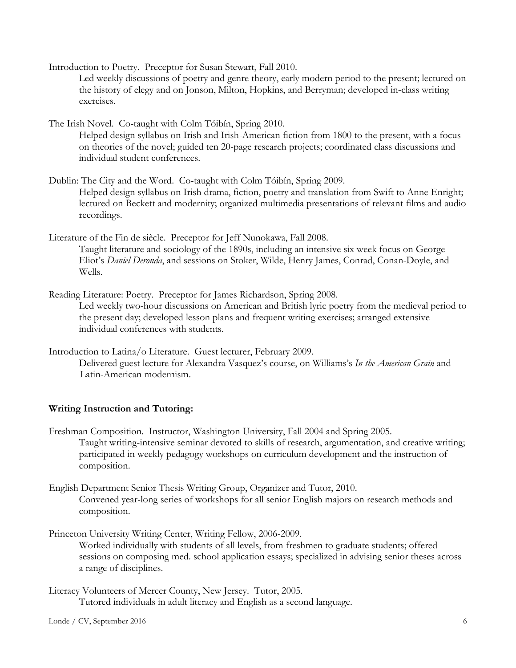Introduction to Poetry. Preceptor for Susan Stewart, Fall 2010.

Led weekly discussions of poetry and genre theory, early modern period to the present; lectured on the history of elegy and on Jonson, Milton, Hopkins, and Berryman; developed in-class writing exercises.

The Irish Novel. Co-taught with Colm Tóibín, Spring 2010.

Helped design syllabus on Irish and Irish-American fiction from 1800 to the present, with a focus on theories of the novel; guided ten 20-page research projects; coordinated class discussions and individual student conferences.

- Dublin: The City and the Word. Co-taught with Colm Tóibín, Spring 2009. Helped design syllabus on Irish drama, fiction, poetry and translation from Swift to Anne Enright; lectured on Beckett and modernity; organized multimedia presentations of relevant films and audio recordings.
- Literature of the Fin de siècle. Preceptor for Jeff Nunokawa, Fall 2008. Taught literature and sociology of the 1890s, including an intensive six week focus on George Eliot's *Daniel Deronda*, and sessions on Stoker, Wilde, Henry James, Conrad, Conan-Doyle, and Wells.

Reading Literature: Poetry. Preceptor for James Richardson, Spring 2008.

Led weekly two-hour discussions on American and British lyric poetry from the medieval period to the present day; developed lesson plans and frequent writing exercises; arranged extensive individual conferences with students.

Introduction to Latina/o Literature. Guest lecturer, February 2009.

Delivered guest lecture for Alexandra Vasquez's course, on Williams's *In the American Grain* and Latin-American modernism.

## **Writing Instruction and Tutoring:**

Freshman Composition. Instructor, Washington University, Fall 2004 and Spring 2005. Taught writing-intensive seminar devoted to skills of research, argumentation, and creative writing; participated in weekly pedagogy workshops on curriculum development and the instruction of composition.

English Department Senior Thesis Writing Group, Organizer and Tutor, 2010. Convened year-long series of workshops for all senior English majors on research methods and composition.

Princeton University Writing Center, Writing Fellow, 2006-2009.

Worked individually with students of all levels, from freshmen to graduate students; offered sessions on composing med. school application essays; specialized in advising senior theses across a range of disciplines.

Literacy Volunteers of Mercer County, New Jersey. Tutor, 2005. Tutored individuals in adult literacy and English as a second language.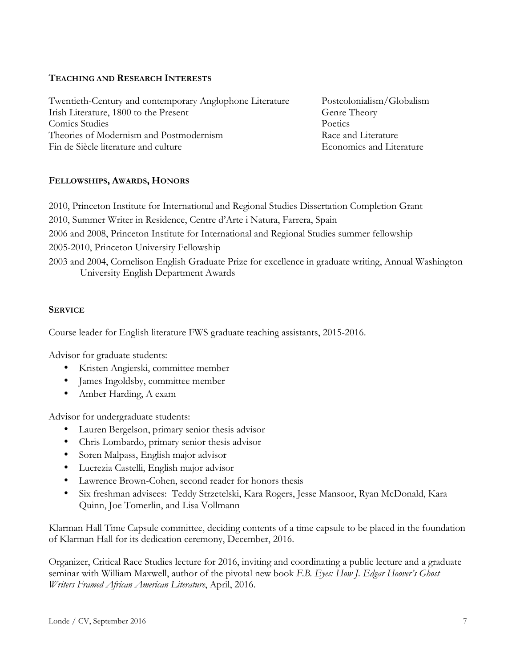## **TEACHING AND RESEARCH INTERESTS**

Twentieth-Century and contemporary Anglophone Literature Postcolonialism/Globalism Irish Literature, 1800 to the Present Genre Theory Comics Studies Poetics Theories of Modernism and Postmodernism **Race and Literature** Race and Literature Fin de Siècle literature and culture et al. Economics and Literature et al. Economics and Literature

## **FELLOWSHIPS, AWARDS, HONORS**

2010, Princeton Institute for International and Regional Studies Dissertation Completion Grant

- 2010, Summer Writer in Residence, Centre d'Arte i Natura, Farrera, Spain
- 2006 and 2008, Princeton Institute for International and Regional Studies summer fellowship
- 2005-2010, Princeton University Fellowship

2003 and 2004, Cornelison English Graduate Prize for excellence in graduate writing, Annual Washington University English Department Awards

## **SERVICE**

Course leader for English literature FWS graduate teaching assistants, 2015-2016.

Advisor for graduate students:

- Kristen Angierski, committee member
- James Ingoldsby, committee member
- Amber Harding, A exam

Advisor for undergraduate students:

- Lauren Bergelson, primary senior thesis advisor
- Chris Lombardo, primary senior thesis advisor
- Soren Malpass, English major advisor
- Lucrezia Castelli, English major advisor
- Lawrence Brown-Cohen, second reader for honors thesis
- Six freshman advisees: Teddy Strzetelski, Kara Rogers, Jesse Mansoor, Ryan McDonald, Kara Quinn, Joe Tomerlin, and Lisa Vollmann

Klarman Hall Time Capsule committee, deciding contents of a time capsule to be placed in the foundation of Klarman Hall for its dedication ceremony, December, 2016.

Organizer, Critical Race Studies lecture for 2016, inviting and coordinating a public lecture and a graduate seminar with William Maxwell, author of the pivotal new book *F.B. Eyes: How J. Edgar Hoover's Ghost Writers Framed African American Literature*, April, 2016.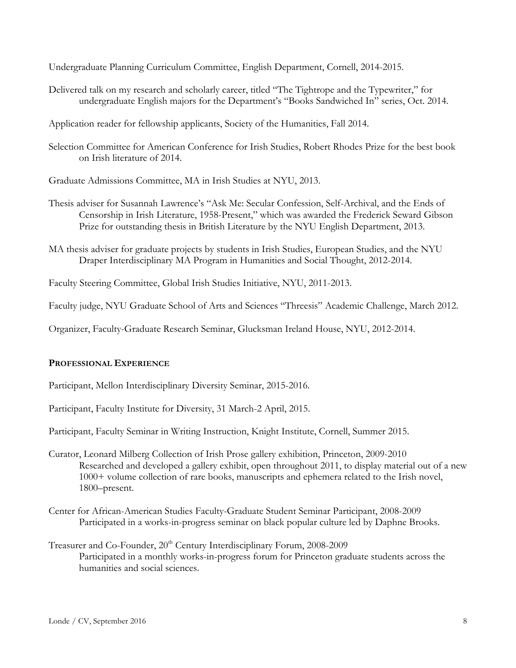Undergraduate Planning Curriculum Committee, English Department, Cornell, 2014-2015.

Delivered talk on my research and scholarly career, titled "The Tightrope and the Typewriter," for undergraduate English majors for the Department's "Books Sandwiched In" series, Oct. 2014.

Application reader for fellowship applicants, Society of the Humanities, Fall 2014.

Selection Committee for American Conference for Irish Studies, Robert Rhodes Prize for the best book on Irish literature of 2014.

Graduate Admissions Committee, MA in Irish Studies at NYU, 2013.

- Thesis adviser for Susannah Lawrence's "Ask Me: Secular Confession, Self-Archival, and the Ends of Censorship in Irish Literature, 1958-Present," which was awarded the Frederick Seward Gibson Prize for outstanding thesis in British Literature by the NYU English Department, 2013.
- MA thesis adviser for graduate projects by students in Irish Studies, European Studies, and the NYU Draper Interdisciplinary MA Program in Humanities and Social Thought, 2012-2014.

Faculty Steering Committee, Global Irish Studies Initiative, NYU, 2011-2013.

Faculty judge, NYU Graduate School of Arts and Sciences "Threesis" Academic Challenge, March 2012.

Organizer, Faculty-Graduate Research Seminar, Glucksman Ireland House, NYU, 2012-2014.

## **PROFESSIONAL EXPERIENCE**

Participant, Mellon Interdisciplinary Diversity Seminar, 2015-2016.

Participant, Faculty Institute for Diversity, 31 March-2 April, 2015.

Participant, Faculty Seminar in Writing Instruction, Knight Institute, Cornell, Summer 2015.

- Curator, Leonard Milberg Collection of Irish Prose gallery exhibition, Princeton, 2009-2010 Researched and developed a gallery exhibit, open throughout 2011, to display material out of a new 1000+ volume collection of rare books, manuscripts and ephemera related to the Irish novel, 1800–present.
- Center for African-American Studies Faculty-Graduate Student Seminar Participant, 2008-2009 Participated in a works-in-progress seminar on black popular culture led by Daphne Brooks.
- Treasurer and Co-Founder, 20<sup>th</sup> Century Interdisciplinary Forum, 2008-2009 Participated in a monthly works-in-progress forum for Princeton graduate students across the humanities and social sciences.